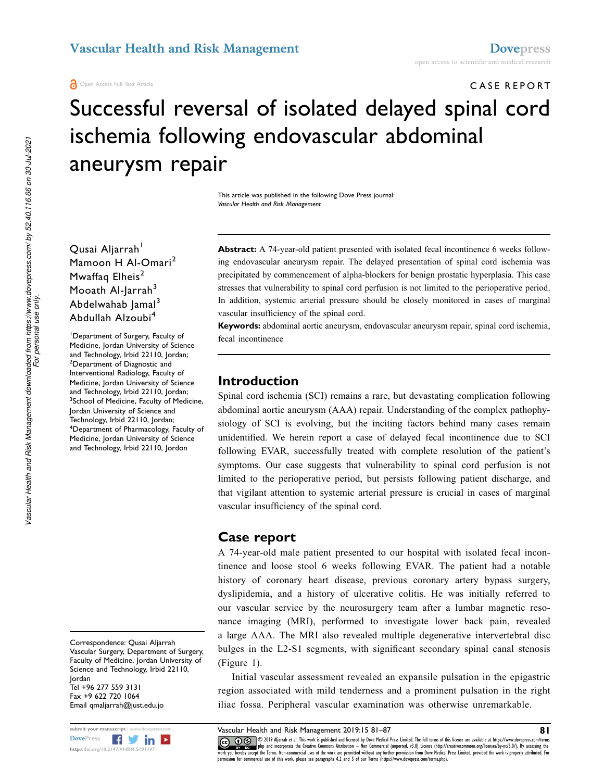Open Access Full Text Article

# CASE REPORT Successful reversal of isolated delayed spinal cord ischemia following endovascular abdominal aneurysm repair

This article was published in the following Dove Press journal: Vascular Health and Risk Management

Qusai Aljarrah<sup>1</sup> Mamoon H Al-Omari<sup>2</sup> Mwaffaq Elheis<sup>2</sup> Mooath Al-Jarrah<sup>3</sup> Abdelwahab Jamal<sup>3</sup> Abdullah Alzoubi<sup>4</sup>

<sup>1</sup>Department of Surgery, Faculty of Medicine, Jordan University of Science and Technology, Irbid 22110, Jordan; <sup>2</sup>Department of Diagnostic and Interventional Radiology, Faculty of Medicine, Jordan University of Science and Technology, Irbid 22110, Jordan; <sup>3</sup> School of Medicine, Faculty of Medicine, Jordan University of Science and Technology, Irbid 22110, Jordan; <sup>4</sup>Department of Pharmacology, Faculty of Medicine, Jordan University of Science and Technology, Irbid 22110, Jordon

Correspondence: Qusai Aljarrah Vascular Surgery, Department of Surgery, Faculty of Medicine, Jordan University of Science and Technology, Irbid 22110, Jordan Tel +96 277 559 3131 Fax +9 622 720 1064 Email qmaljarrah@just.edu.jo



Abstract: A 74-year-old patient presented with isolated fecal incontinence 6 weeks following endovascular aneurysm repair. The delayed presentation of spinal cord ischemia was precipitated by commencement of alpha-blockers for benign prostatic hyperplasia. This case stresses that vulnerability to spinal cord perfusion is not limited to the perioperative period. In addition, systemic arterial pressure should be closely monitored in cases of marginal vascular insufficiency of the spinal cord.

Keywords: abdominal aortic aneurysm, endovascular aneurysm repair, spinal cord ischemia, fecal incontinence

#### Introduction

Spinal cord ischemia (SCI) remains a rare, but devastating complication following abdominal aortic aneurysm (AAA) repair. Understanding of the complex pathophysiology of SCI is evolving, but the inciting factors behind many cases remain unidentified. We herein report a case of delayed fecal incontinence due to SCI following EVAR, successfully treated with complete resolution of the patient's symptoms. Our case suggests that vulnerability to spinal cord perfusion is not limited to the perioperative period, but persists following patient discharge, and that vigilant attention to systemic arterial pressure is crucial in cases of marginal vascular insufficiency of the spinal cord.

#### Case report

A 74-year-old male patient presented to our hospital with isolated fecal incontinence and loose stool 6 weeks following EVAR. The patient had a notable history of coronary heart disease, previous coronary artery bypass surgery, dyslipidemia, and a history of ulcerative colitis. He was initially referred to our vascular service by the neurosurgery team after a lumbar magnetic resonance imaging (MRI), performed to investigate lower back pain, revealed a large AAA. The MRI also revealed multiple degenerative intervertebral disc bulges in the L2-S1 segments, with significant secondary spinal canal stenosis (Figure 1).

Initial vascular assessment revealed an expansile pulsation in the epigastric region associated with mild tenderness and a prominent pulsation in the right iliac fossa. Peripheral vascular examination was otherwise unremarkable.

submit your manuscript | www.dovepress.com **Vascular Health and Risk Management 2019:15 81–87 1999**<br>DovePress **Figure 1999 1999 CCO O** 2019 Aljarah et al. This work is published and license due Dove Medical Press L CC **D**  $\bigcirc$  2019 Aljarrah et al. This work is published and licensed by Dove Medical Press Limited. The full terms of this license are available at https://www.dovepress.com/terms. www.comphp and incorporate the Creative Commons Attribution - Non Commercial (unported, v3.0) License (http://creativecommons.org/licenses/by-nc/3.0/). By accessing the<br>work you hereby accept the Terms. Non-commercial uses ission for commercial use of this work, please see paragraphs 4.2 and 5 of our Terms (https://www.dovepress.com/terms.php).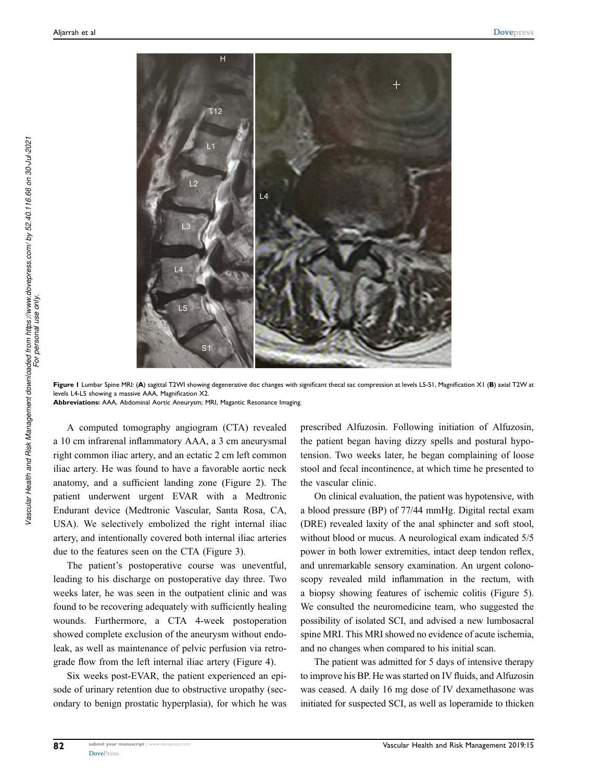

Figure 1 Lumbar Spine MRI: (A) sagittal T2WI showing degenerative disc changes with significant thecal sac compression at levels L5-S1, Magnification X1 (B) axial T2W at levels L4-L5 showing a massive AAA, Magnification X2. Abbreviations: AAA, Abdominal Aortic Aneurysm; MRI, Magantic Resonance Imaging.

A computed tomography angiogram (CTA) revealed a 10 cm infrarenal inflammatory AAA, a 3 cm aneurysmal right common iliac artery, and an ectatic 2 cm left common iliac artery. He was found to have a favorable aortic neck anatomy, and a sufficient landing zone (Figure 2). The patient underwent urgent EVAR with a Medtronic Endurant device (Medtronic Vascular, Santa Rosa, CA, USA). We selectively embolized the right internal iliac artery, and intentionally covered both internal iliac arteries due to the features seen on the CTA (Figure 3).

The patient's postoperative course was uneventful, leading to his discharge on postoperative day three. Two weeks later, he was seen in the outpatient clinic and was found to be recovering adequately with sufficiently healing wounds. Furthermore, a CTA 4-week postoperation showed complete exclusion of the aneurysm without endoleak, as well as maintenance of pelvic perfusion via retrograde flow from the left internal iliac artery (Figure 4).

Six weeks post-EVAR, the patient experienced an episode of urinary retention due to obstructive uropathy (secondary to benign prostatic hyperplasia), for which he was prescribed Alfuzosin. Following initiation of Alfuzosin, the patient began having dizzy spells and postural hypotension. Two weeks later, he began complaining of loose stool and fecal incontinence, at which time he presented to the vascular clinic.

On clinical evaluation, the patient was hypotensive, with a blood pressure (BP) of 77/44 mmHg. Digital rectal exam (DRE) revealed laxity of the anal sphincter and soft stool, without blood or mucus. A neurological exam indicated 5/5 power in both lower extremities, intact deep tendon reflex, and unremarkable sensory examination. An urgent colonoscopy revealed mild inflammation in the rectum, with a biopsy showing features of ischemic colitis (Figure 5). We consulted the neuromedicine team, who suggested the possibility of isolated SCI, and advised a new lumbosacral spine MRI. This MRI showed no evidence of acute ischemia, and no changes when compared to his initial scan.

The patient was admitted for 5 days of intensive therapy to improve his BP. He was started on IV fluids, and Alfuzosin was ceased. A daily 16 mg dose of IV dexamethasone was initiated for suspected SCI, as well as loperamide to thicken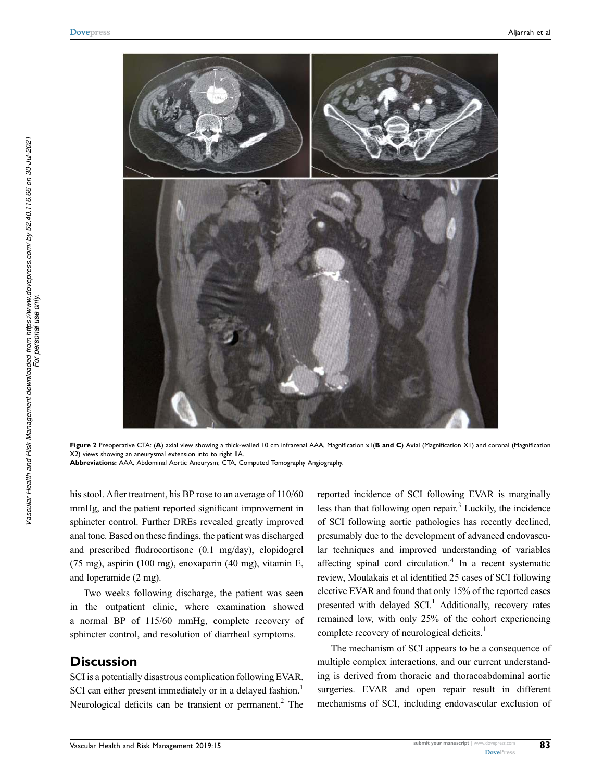

Figure 2 Preoperative CTA: (A) axial view showing a thick-walled 10 cm infrarenal AAA, Magnification x1 (B and C) Axial (Magnification X1) and coronal (Magnification X2) views showing an aneurysmal extension into to right IIA.

Abbreviations: AAA, Abdominal Aortic Aneurysm; CTA, Computed Tomography Angiography.

his stool. After treatment, his BP rose to an average of 110/60 mmHg, and the patient reported significant improvement in sphincter control. Further DREs revealed greatly improved anal tone. Based on these findings, the patient was discharged and prescribed fludrocortisone (0.1 mg/day), clopidogrel (75 mg), aspirin (100 mg), enoxaparin (40 mg), vitamin E, and loperamide (2 mg).

Two weeks following discharge, the patient was seen in the outpatient clinic, where examination showed a normal BP of 115/60 mmHg, complete recovery of sphincter control, and resolution of diarrheal symptoms.

#### **Discussion**

SCI is a potentially disastrous complication following EVAR. SCI can either present immediately or in a delayed fashion.<sup>1</sup> Neurological deficits can be transient or permanent.<sup>2</sup> The

reported incidence of SCI following EVAR is marginally less than that following open repair.<sup>3</sup> Luckily, the incidence of SCI following aortic pathologies has recently declined, presumably due to the development of advanced endovascular techniques and improved understanding of variables affecting spinal cord circulation.<sup>4</sup> In a recent systematic review, Moulakais et al identified 25 cases of SCI following elective EVAR and found that only 15% of the reported cases presented with delayed  $SCI$ .<sup>1</sup> Additionally, recovery rates remained low, with only 25% of the cohort experiencing complete recovery of neurological deficits.<sup>1</sup>

The mechanism of SCI appears to be a consequence of multiple complex interactions, and our current understanding is derived from thoracic and thoracoabdominal aortic surgeries. EVAR and open repair result in different mechanisms of SCI, including endovascular exclusion of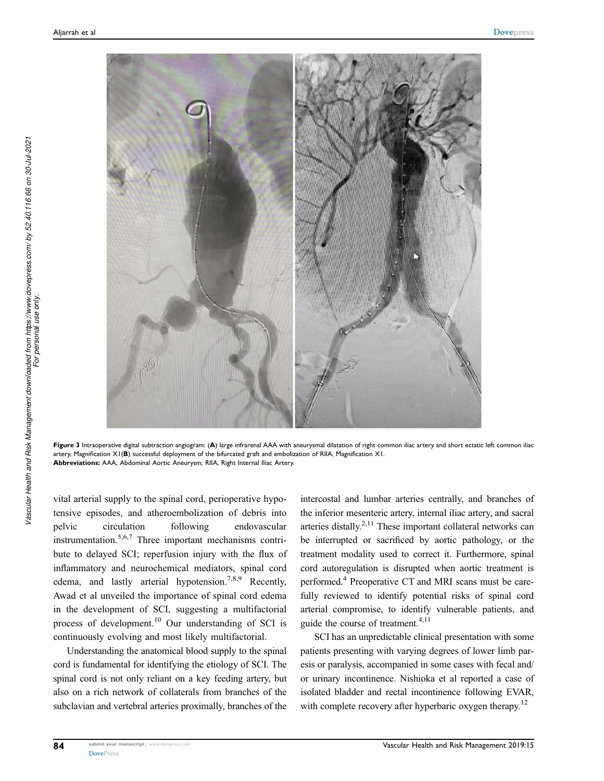

Figure 3 Intraoperative digital subtraction angiogram: (A) large infrarenal AAA with aneurysmal dilatation of right common iliac artery and short ectatic left common iliac artery, Magnification X1(B) successful deployment of the bifurcated graft and embolization of RIIA, Magnification X1. Abbreviations: AAA, Abdominal Aortic Aneurysm; RIIA, Right Internal Iliac Artery.

vital arterial supply to the spinal cord, perioperative hypotensive episodes, and atheroembolization of debris into pelvic circulation following endovascular instrumentation.5,6,7 Three important mechanisms contribute to delayed SCI; reperfusion injury with the flux of inflammatory and neurochemical mediators, spinal cord edema, and lastly arterial hypotension.<sup>7,8,9</sup> Recently, Awad et al unveiled the importance of spinal cord edema in the development of SCI, suggesting a multifactorial process of development.<sup>10</sup> Our understanding of SCI is continuously evolving and most likely multifactorial.

Understanding the anatomical blood supply to the spinal cord is fundamental for identifying the etiology of SCI. The spinal cord is not only reliant on a key feeding artery, but also on a rich network of collaterals from branches of the subclavian and vertebral arteries proximally, branches of the intercostal and lumbar arteries centrally, and branches of the inferior mesenteric artery, internal iliac artery, and sacral arteries distally.<sup>2,11</sup> These important collateral networks can be interrupted or sacrificed by aortic pathology, or the treatment modality used to correct it. Furthermore, spinal cord autoregulation is disrupted when aortic treatment is performed.<sup>4</sup> Preoperative CT and MRI scans must be carefully reviewed to identify potential risks of spinal cord arterial compromise, to identify vulnerable patients, and guide the course of treatment.<sup>4,11</sup>

SCI has an unpredictable clinical presentation with some patients presenting with varying degrees of lower limb paresis or paralysis, accompanied in some cases with fecal and/ or urinary incontinence. Nishioka et al reported a case of isolated bladder and rectal incontinence following EVAR, with complete recovery after hyperbaric oxygen therapy.<sup>12</sup>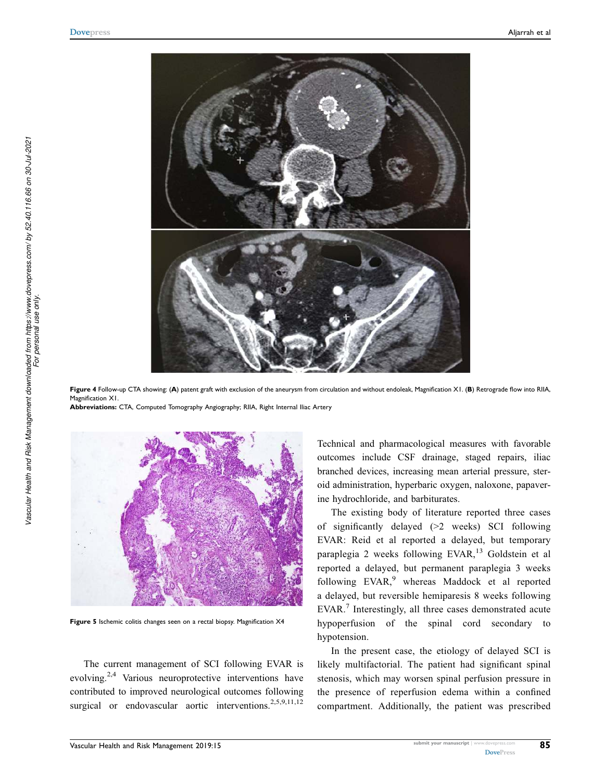

Figure 4 Follow-up CTA showing: (A) patent graft with exclusion of the aneurysm from circulation and without endoleak, Magnification X1. (B) Retrograde flow into RIIA, Magnification X1.

Abbreviations: CTA, Computed Tomography Angiography; RIIA, Right Internal Iliac Artery



Figure 5 Ischemic colitis changes seen on a rectal biopsy. Magnification X4

The current management of SCI following EVAR is evolving.<sup>2,4</sup> Various neuroprotective interventions have contributed to improved neurological outcomes following surgical or endovascular aortic interventions.<sup>2,5,9,11,12</sup>

Technical and pharmacological measures with favorable outcomes include CSF drainage, staged repairs, iliac branched devices, increasing mean arterial pressure, steroid administration, hyperbaric oxygen, naloxone, papaverine hydrochloride, and barbiturates.

The existing body of literature reported three cases of significantly delayed (>2 weeks) SCI following EVAR: Reid et al reported a delayed, but temporary paraplegia 2 weeks following EVAR,<sup>13</sup> Goldstein et al reported a delayed, but permanent paraplegia 3 weeks following  $EVAR<sub>2</sub><sup>9</sup>$  whereas Maddock et al reported a delayed, but reversible hemiparesis 8 weeks following EVAR.<sup>7</sup> Interestingly, all three cases demonstrated acute hypoperfusion of the spinal cord secondary to hypotension.

In the present case, the etiology of delayed SCI is likely multifactorial. The patient had significant spinal stenosis, which may worsen spinal perfusion pressure in the presence of reperfusion edema within a confined compartment. Additionally, the patient was prescribed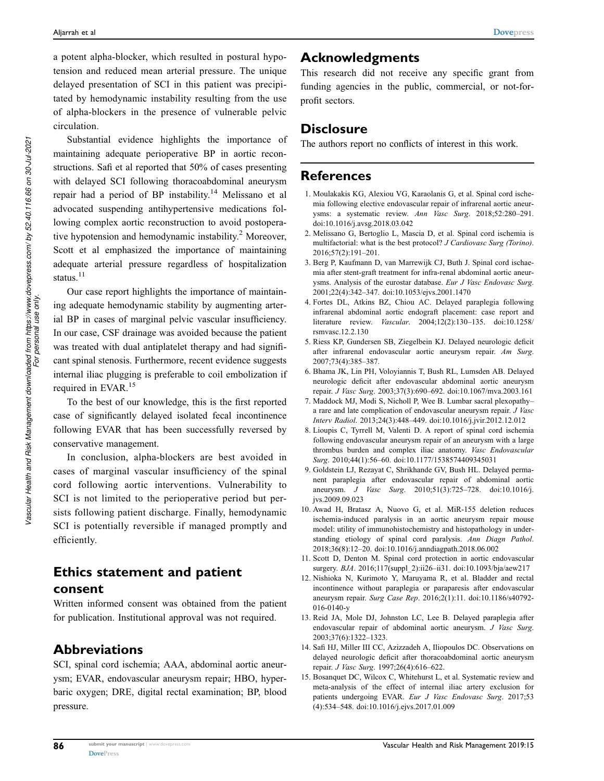a potent alpha-blocker, which resulted in postural hypotension and reduced mean arterial pressure. The unique delayed presentation of SCI in this patient was precipitated by hemodynamic instability resulting from the use of alpha-blockers in the presence of vulnerable pelvic circulation.

Substantial evidence highlights the importance of maintaining adequate perioperative BP in aortic reconstructions. Safi et al reported that 50% of cases presenting with delayed SCI following thoracoabdominal aneurysm repair had a period of BP instability.<sup>14</sup> Melissano et al advocated suspending antihypertensive medications following complex aortic reconstruction to avoid postoperative hypotension and hemodynamic instability.<sup>2</sup> Moreover, Scott et al emphasized the importance of maintaining adequate arterial pressure regardless of hospitalization status.<sup>11</sup>

Our case report highlights the importance of maintaining adequate hemodynamic stability by augmenting arterial BP in cases of marginal pelvic vascular insufficiency. In our case, CSF drainage was avoided because the patient was treated with dual antiplatelet therapy and had significant spinal stenosis. Furthermore, recent evidence suggests internal iliac plugging is preferable to coil embolization if required in EVAR.<sup>15</sup>

To the best of our knowledge, this is the first reported case of significantly delayed isolated fecal incontinence following EVAR that has been successfully reversed by conservative management.

In conclusion, alpha-blockers are best avoided in cases of marginal vascular insufficiency of the spinal cord following aortic interventions. Vulnerability to SCI is not limited to the perioperative period but persists following patient discharge. Finally, hemodynamic SCI is potentially reversible if managed promptly and efficiently.

## Ethics statement and patient consent

Written informed consent was obtained from the patient for publication. Institutional approval was not required.

### Abbreviations

SCI, spinal cord ischemia; AAA, abdominal aortic aneurysm; EVAR, endovascular aneurysm repair; HBO, hyperbaric oxygen; DRE, digital rectal examination; BP, blood pressure.

#### Acknowledgments

This research did not receive any specific grant from funding agencies in the public, commercial, or not-forprofit sectors.

#### **Disclosure**

The authors report no conflicts of interest in this work.

#### References

- 1. Moulakakis KG, Alexiou VG, Karaolanis G, et al. Spinal cord ischemia following elective endovascular repair of infrarenal aortic aneurysms: a systematic review. Ann Vasc Surg. 2018;52:280–291. doi:10.1016/j.avsg.2018.03.042
- 2. Melissano G, Bertoglio L, Mascia D, et al. Spinal cord ischemia is multifactorial: what is the best protocol? J Cardiovasc Surg (Torino). 2016;57(2):191–201.
- 3. Berg P, Kaufmann D, van Marrewijk CJ, Buth J. Spinal cord ischaemia after stent-graft treatment for infra-renal abdominal aortic aneurysms. Analysis of the eurostar database. Eur J Vasc Endovasc Surg. 2001;22(4):342–347. doi:10.1053/ejvs.2001.1470
- 4. Fortes DL, Atkins BZ, Chiou AC. Delayed paraplegia following infrarenal abdominal aortic endograft placement: case report and literature review. Vascular. 2004;12(2):130–135. doi:10.1258/ rsmvasc.12.2.130
- 5. Riess KP, Gundersen SB, Ziegelbein KJ. Delayed neurologic deficit after infrarenal endovascular aortic aneurysm repair. Am Surg. 2007;73(4):385–387.
- 6. Bhama JK, Lin PH, Voloyiannis T, Bush RL, Lumsden AB. Delayed neurologic deficit after endovascular abdominal aortic aneurysm repair. J Vasc Surg. 2003;37(3):690–692. doi:10.1067/mva.2003.161
- 7. Maddock MJ, Modi S, Nicholl P, Wee B. Lumbar sacral plexopathy– a rare and late complication of endovascular aneurysm repair. J Vasc Interv Radiol. 2013;24(3):448–449. doi:10.1016/j.jvir.2012.12.012
- 8. Lioupis C, Tyrrell M, Valenti D. A report of spinal cord ischemia following endovascular aneurysm repair of an aneurysm with a large thrombus burden and complex iliac anatomy. Vasc Endovascular Surg. 2010;44(1):56–60. doi:10.1177/1538574409345031
- 9. Goldstein LJ, Rezayat C, Shrikhande GV, Bush HL. Delayed permanent paraplegia after endovascular repair of abdominal aortic aneurysm. J Vasc Surg. 2010;51(3):725–728. doi:10.1016/j. jvs.2009.09.023
- 10. Awad H, Bratasz A, Nuovo G, et al. MiR-155 deletion reduces ischemia-induced paralysis in an aortic aneurysm repair mouse model: utility of immunohistochemistry and histopathology in understanding etiology of spinal cord paralysis. Ann Diagn Pathol. 2018;36(8):12–20. doi:10.1016/j.anndiagpath.2018.06.002
- 11. Scott D, Denton M. Spinal cord protection in aortic endovascular surgery. BJA. 2016;117(suppl\_2):ii26–ii31. doi:10.1093/bja/aew217
- 12. Nishioka N, Kurimoto Y, Maruyama R, et al. Bladder and rectal incontinence without paraplegia or paraparesis after endovascular aneurysm repair. Surg Case Rep. 2016;2(1):11. doi:10.1186/s40792- 016-0140-y
- 13. Reid JA, Mole DJ, Johnston LC, Lee B. Delayed paraplegia after endovascular repair of abdominal aortic aneurysm. J Vasc Surg. 2003;37(6):1322–1323.
- 14. Safi HJ, Miller III CC, Azizzadeh A, Iliopoulos DC. Observations on delayed neurologic deficit after thoracoabdominal aortic aneurysm repair. J Vasc Surg. 1997;26(4):616–622.
- 15. Bosanquet DC, Wilcox C, Whitehurst L, et al. Systematic review and meta-analysis of the effect of internal iliac artery exclusion for patients undergoing EVAR. Eur J Vasc Endovasc Surg. 2017;53 (4):534–548. doi:10.1016/j.ejvs.2017.01.009